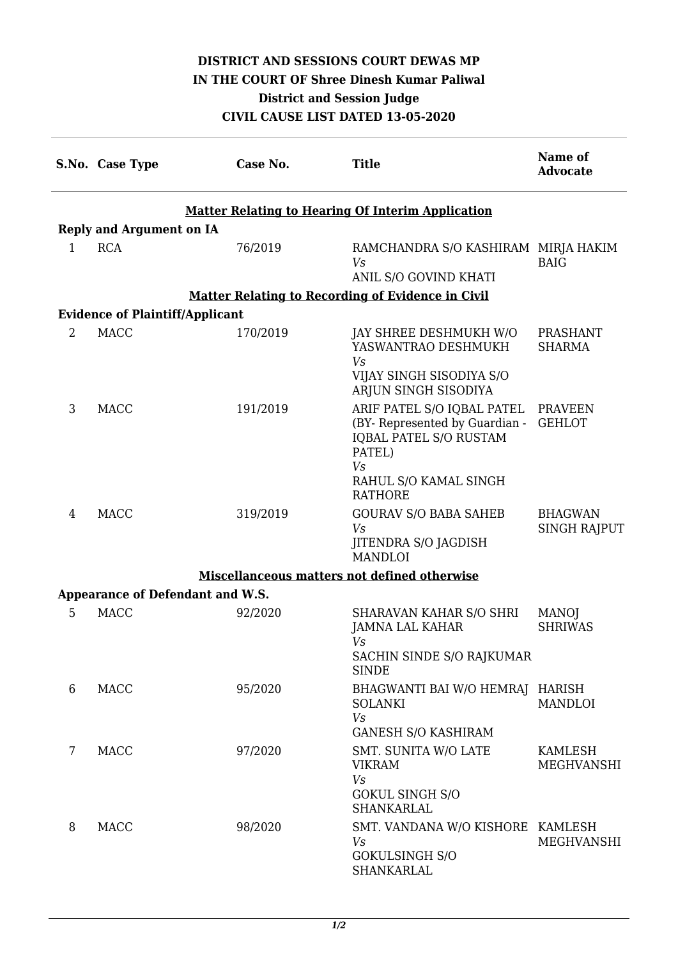## **DISTRICT AND SESSIONS COURT DEWAS MP IN THE COURT OF Shree Dinesh Kumar Paliwal District and Session Judge CIVIL CAUSE LIST DATED 13-05-2020**

|                                                                                                    | S.No. Case Type | Case No. | <b>Title</b>                                                                                                  | Name of<br><b>Advocate</b>            |  |  |  |
|----------------------------------------------------------------------------------------------------|-----------------|----------|---------------------------------------------------------------------------------------------------------------|---------------------------------------|--|--|--|
| <b>Matter Relating to Hearing Of Interim Application</b><br><b>Reply and Argument on IA</b>        |                 |          |                                                                                                               |                                       |  |  |  |
| 1                                                                                                  | <b>RCA</b>      | 76/2019  | RAMCHANDRA S/O KASHIRAM MIRJA HAKIM<br>Vs                                                                     | <b>BAIG</b>                           |  |  |  |
|                                                                                                    |                 |          | ANIL S/O GOVIND KHATI                                                                                         |                                       |  |  |  |
| <b>Matter Relating to Recording of Evidence in Civil</b><br><b>Evidence of Plaintiff/Applicant</b> |                 |          |                                                                                                               |                                       |  |  |  |
| $\overline{2}$                                                                                     | <b>MACC</b>     | 170/2019 | JAY SHREE DESHMUKH W/O<br>YASWANTRAO DESHMUKH<br>Vs                                                           | <b>PRASHANT</b><br><b>SHARMA</b>      |  |  |  |
|                                                                                                    |                 |          | VIJAY SINGH SISODIYA S/O<br>ARJUN SINGH SISODIYA                                                              |                                       |  |  |  |
| 3                                                                                                  | <b>MACC</b>     | 191/2019 | ARIF PATEL S/O IQBAL PATEL<br>(BY- Represented by Guardian -<br><b>IQBAL PATEL S/O RUSTAM</b><br>PATEL)<br>Vs | PRAVEEN<br><b>GEHLOT</b>              |  |  |  |
|                                                                                                    |                 |          | RAHUL S/O KAMAL SINGH<br><b>RATHORE</b>                                                                       |                                       |  |  |  |
| 4                                                                                                  | <b>MACC</b>     | 319/2019 | <b>GOURAV S/O BABA SAHEB</b><br>Vs<br>JITENDRA S/O JAGDISH<br><b>MANDLOI</b>                                  | <b>BHAGWAN</b><br><b>SINGH RAJPUT</b> |  |  |  |
|                                                                                                    |                 |          | Miscellanceous matters not defined otherwise                                                                  |                                       |  |  |  |
| Appearance of Defendant and W.S.                                                                   |                 |          |                                                                                                               |                                       |  |  |  |
| 5                                                                                                  | <b>MACC</b>     | 92/2020  | SHARAVAN KAHAR S/O SHRI<br>JAMNA LAL KAHAR<br>Vs<br>SACHIN SINDE S/O RAJKUMAR<br><b>SINDE</b>                 | <b>MANO</b><br><b>SHRIWAS</b>         |  |  |  |
| 6                                                                                                  | <b>MACC</b>     | 95/2020  | <b>BHAGWANTI BAI W/O HEMRAJ</b><br><b>SOLANKI</b><br>V <sub>s</sub><br><b>GANESH S/O KASHIRAM</b>             | HARISH<br><b>MANDLOI</b>              |  |  |  |
| 7                                                                                                  | <b>MACC</b>     | 97/2020  | SMT. SUNITA W/O LATE<br><b>VIKRAM</b><br>Vs<br><b>GOKUL SINGH S/O</b><br>SHANKARLAL                           | <b>KAMLESH</b><br>MEGHVANSHI          |  |  |  |
| 8                                                                                                  | <b>MACC</b>     | 98/2020  | SMT. VANDANA W/O KISHORE KAMLESH<br>Vs<br><b>GOKULSINGH S/O</b><br>SHANKARLAL                                 | MEGHVANSHI                            |  |  |  |